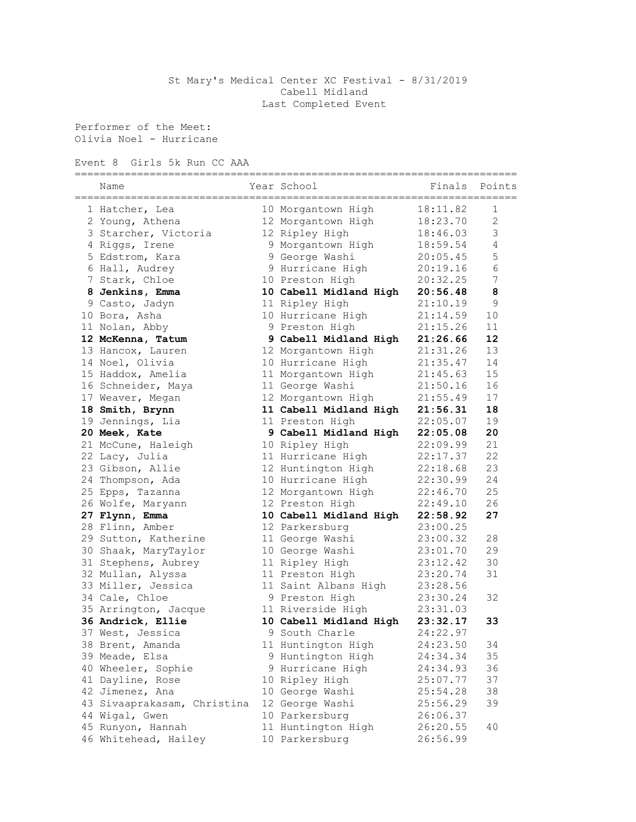## St Mary's Medical Center XC Festival - 8/31/2019 Cabell Midland Last Completed Event

Performer of the Meet: Olivia Noel - Hurricane

Event 8 Girls 5k Run CC AAA

| Name                        | Year School            | Finals   | Points         |
|-----------------------------|------------------------|----------|----------------|
| 1 Hatcher, Lea              | 10 Morgantown High     | 18:11.82 | 1              |
| 2 Young, Athena             | 12 Morgantown High     | 18:23.70 | 2              |
| 3 Starcher, Victoria        | 12 Ripley High         | 18:46.03 | 3              |
| 4 Riggs, Irene              | 9 Morgantown High      | 18:59.54 | $\overline{4}$ |
| 5 Edstrom, Kara             | 9 George Washi         | 20:05.45 | 5              |
| 6 Hall, Audrey              | 9 Hurricane High       | 20:19.16 | $\sqrt{6}$     |
| 7 Stark, Chloe              | 10 Preston High        | 20:32.25 | $\overline{7}$ |
| 8 Jenkins, Emma             | 10 Cabell Midland High | 20:56.48 | 8              |
| 9 Casto, Jadyn              | 11 Ripley High         | 21:10.19 | 9              |
| 10 Bora, Asha               | 10 Hurricane High      | 21:14.59 | 10             |
| 11 Nolan, Abby              | 9 Preston High         | 21:15.26 | 11             |
| 12 McKenna, Tatum           | 9 Cabell Midland High  | 21:26.66 | 12             |
| 13 Hancox, Lauren           | 12 Morgantown High     | 21:31.26 | 13             |
| 14 Noel, Olivia             | 10 Hurricane High      | 21:35.47 | 14             |
| 15 Haddox, Amelia           | 11 Morgantown High     | 21:45.63 | 15             |
| 16 Schneider, Maya          | 11 George Washi        | 21:50.16 | 16             |
| 17 Weaver, Megan            | 12 Morgantown High     | 21:55.49 | 17             |
| 18 Smith, Brynn             | 11 Cabell Midland High | 21:56.31 | 18             |
| 19 Jennings, Lia            | 11 Preston High        | 22:05.07 | 19             |
| 20 Meek, Kate               | 9 Cabell Midland High  | 22:05.08 | 20             |
| 21 McCune, Haleigh          | 10 Ripley High         | 22:09.99 | 21             |
| 22 Lacy, Julia              | 11 Hurricane High      | 22:17.37 | 22             |
| 23 Gibson, Allie            | 12 Huntington High     | 22:18.68 | 23             |
| 24 Thompson, Ada            | 10 Hurricane High      | 22:30.99 | 24             |
| 25 Epps, Tazanna            | 12 Morgantown High     | 22:46.70 | 25             |
| 26 Wolfe, Maryann           | 12 Preston High        | 22:49.10 | 26             |
| 27 Flynn, Emma              | 10 Cabell Midland High | 22:58.92 | 27             |
| 28 Flinn, Amber             | 12 Parkersburg         | 23:00.25 |                |
| 29 Sutton, Katherine        | 11 George Washi        | 23:00.32 | 28             |
| 30 Shaak, MaryTaylor        | 10 George Washi        | 23:01.70 | 29             |
| 31 Stephens, Aubrey         | 11 Ripley High         | 23:12.42 | 30             |
| 32 Mullan, Alyssa           | 11 Preston High        | 23:20.74 | 31             |
| 33 Miller, Jessica          | 11 Saint Albans High   | 23:28.56 |                |
| 34 Cale, Chloe              | 9 Preston High         | 23:30.24 | 32             |
| 35 Arrington, Jacque        | 11 Riverside High      | 23:31.03 |                |
| 36 Andrick, Ellie           | 10 Cabell Midland High | 23:32.17 | 33             |
| 37 West, Jessica            | 9 South Charle         | 24:22.97 |                |
| 38 Brent, Amanda            | 11 Huntington High     | 24:23.50 | 34             |
| 39 Meade, Elsa              | 9 Huntington High      | 24:34.34 | 35             |
| 40 Wheeler, Sophie          | 9 Hurricane High       | 24:34.93 | 36             |
| 41 Dayline, Rose            | 10 Ripley High         | 25:07.77 | 37             |
| 42 Jimenez, Ana             | 10 George Washi        | 25:54.28 | 38             |
| 43 Sivaaprakasam, Christina | 12 George Washi        | 25:56.29 | 39             |
| 44 Wigal, Gwen              | 10 Parkersburg         | 26:06.37 |                |
| 45 Runyon, Hannah           | 11 Huntington High     | 26:20.55 | 40             |
| 46 Whitehead, Hailey        | 10 Parkersburg         | 26:56.99 |                |